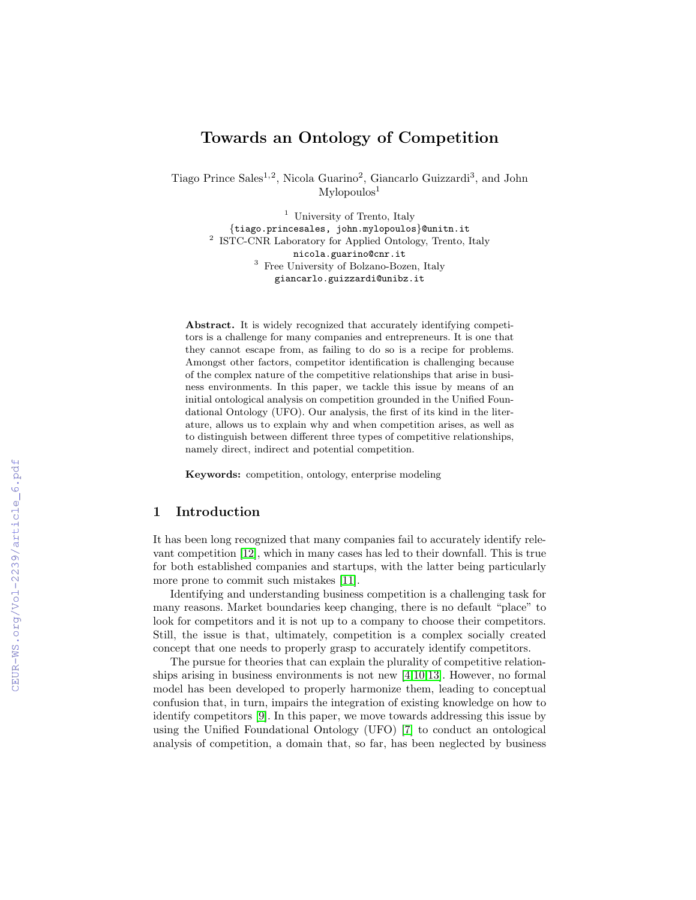# Towards an Ontology of Competition

Tiago Prince Sales<sup>1,2</sup>, Nicola Guarino<sup>2</sup>, Giancarlo Guizzardi<sup>3</sup>, and John  $M$ ylopoulos $<sup>1</sup>$ </sup>

> <sup>1</sup> University of Trento, Italy {tiago.princesales, john.mylopoulos}@unitn.it 2 ISTC-CNR Laboratory for Applied Ontology, Trento, Italy nicola.guarino@cnr.it <sup>3</sup> Free University of Bolzano-Bozen, Italy giancarlo.guizzardi@unibz.it

Abstract. It is widely recognized that accurately identifying competitors is a challenge for many companies and entrepreneurs. It is one that they cannot escape from, as failing to do so is a recipe for problems. Amongst other factors, competitor identification is challenging because of the complex nature of the competitive relationships that arise in business environments. In this paper, we tackle this issue by means of an initial ontological analysis on competition grounded in the Unified Foundational Ontology (UFO). Our analysis, the first of its kind in the literature, allows us to explain why and when competition arises, as well as to distinguish between different three types of competitive relationships, namely direct, indirect and potential competition.

Keywords: competition, ontology, enterprise modeling

## 1 Introduction

It has been long recognized that many companies fail to accurately identify relevant competition [\[12\]](#page--1-0), which in many cases has led to their downfall. This is true for both established companies and startups, with the latter being particularly more prone to commit such mistakes [\[11\]](#page--1-1).

Identifying and understanding business competition is a challenging task for many reasons. Market boundaries keep changing, there is no default "place" to look for competitors and it is not up to a company to choose their competitors. Still, the issue is that, ultimately, competition is a complex socially created concept that one needs to properly grasp to accurately identify competitors.

The pursue for theories that can explain the plurality of competitive relationships arising in business environments is not new [\[4,](#page--1-2)[10,](#page--1-3)[13\]](#page--1-4). However, no formal model has been developed to properly harmonize them, leading to conceptual confusion that, in turn, impairs the integration of existing knowledge on how to identify competitors [\[9\]](#page--1-5). In this paper, we move towards addressing this issue by using the Unified Foundational Ontology (UFO) [\[7\]](#page--1-6) to conduct an ontological analysis of competition, a domain that, so far, has been neglected by business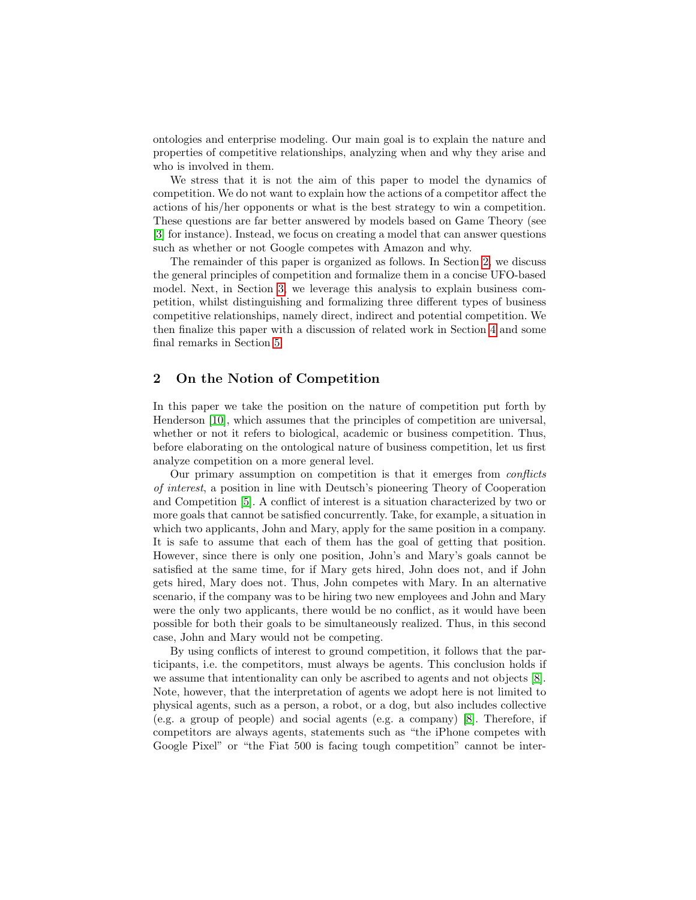ontologies and enterprise modeling. Our main goal is to explain the nature and properties of competitive relationships, analyzing when and why they arise and who is involved in them.

We stress that it is not the aim of this paper to model the dynamics of competition. We do not want to explain how the actions of a competitor affect the actions of his/her opponents or what is the best strategy to win a competition. These questions are far better answered by models based on Game Theory (see [\[3\]](#page-8-0) for instance). Instead, we focus on creating a model that can answer questions such as whether or not Google competes with Amazon and why.

The remainder of this paper is organized as follows. In Section [2,](#page-1-0) we discuss the general principles of competition and formalize them in a concise UFO-based model. Next, in Section [3,](#page-4-0) we leverage this analysis to explain business competition, whilst distinguishing and formalizing three different types of business competitive relationships, namely direct, indirect and potential competition. We then finalize this paper with a discussion of related work in Section [4](#page-6-0) and some final remarks in Section [5.](#page-7-0)

## <span id="page-1-0"></span>2 On the Notion of Competition

In this paper we take the position on the nature of competition put forth by Henderson [\[10\]](#page-8-1), which assumes that the principles of competition are universal, whether or not it refers to biological, academic or business competition. Thus, before elaborating on the ontological nature of business competition, let us first analyze competition on a more general level.

Our primary assumption on competition is that it emerges from conflicts of interest, a position in line with Deutsch's pioneering Theory of Cooperation and Competition [\[5\]](#page-8-2). A conflict of interest is a situation characterized by two or more goals that cannot be satisfied concurrently. Take, for example, a situation in which two applicants, John and Mary, apply for the same position in a company. It is safe to assume that each of them has the goal of getting that position. However, since there is only one position, John's and Mary's goals cannot be satisfied at the same time, for if Mary gets hired, John does not, and if John gets hired, Mary does not. Thus, John competes with Mary. In an alternative scenario, if the company was to be hiring two new employees and John and Mary were the only two applicants, there would be no conflict, as it would have been possible for both their goals to be simultaneously realized. Thus, in this second case, John and Mary would not be competing.

By using conflicts of interest to ground competition, it follows that the participants, i.e. the competitors, must always be agents. This conclusion holds if we assume that intentionality can only be ascribed to agents and not objects [\[8\]](#page-8-3). Note, however, that the interpretation of agents we adopt here is not limited to physical agents, such as a person, a robot, or a dog, but also includes collective (e.g. a group of people) and social agents (e.g. a company) [\[8\]](#page-8-3). Therefore, if competitors are always agents, statements such as "the iPhone competes with Google Pixel" or "the Fiat 500 is facing tough competition" cannot be inter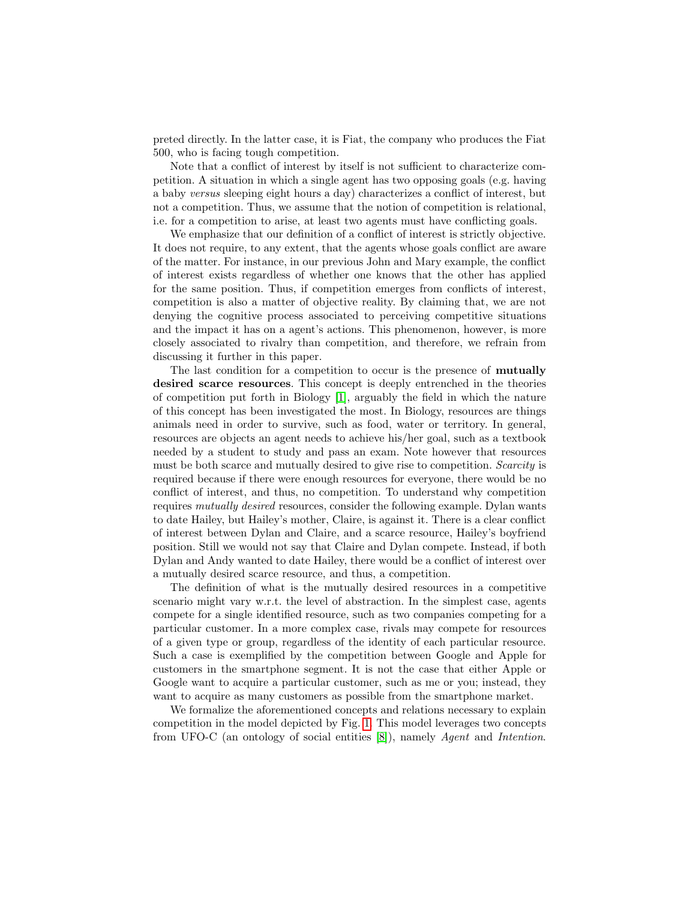preted directly. In the latter case, it is Fiat, the company who produces the Fiat 500, who is facing tough competition.

Note that a conflict of interest by itself is not sufficient to characterize competition. A situation in which a single agent has two opposing goals (e.g. having a baby versus sleeping eight hours a day) characterizes a conflict of interest, but not a competition. Thus, we assume that the notion of competition is relational, i.e. for a competition to arise, at least two agents must have conflicting goals.

We emphasize that our definition of a conflict of interest is strictly objective. It does not require, to any extent, that the agents whose goals conflict are aware of the matter. For instance, in our previous John and Mary example, the conflict of interest exists regardless of whether one knows that the other has applied for the same position. Thus, if competition emerges from conflicts of interest, competition is also a matter of objective reality. By claiming that, we are not denying the cognitive process associated to perceiving competitive situations and the impact it has on a agent's actions. This phenomenon, however, is more closely associated to rivalry than competition, and therefore, we refrain from discussing it further in this paper.

The last condition for a competition to occur is the presence of mutually desired scarce resources. This concept is deeply entrenched in the theories of competition put forth in Biology [\[1\]](#page-8-4), arguably the field in which the nature of this concept has been investigated the most. In Biology, resources are things animals need in order to survive, such as food, water or territory. In general, resources are objects an agent needs to achieve his/her goal, such as a textbook needed by a student to study and pass an exam. Note however that resources must be both scarce and mutually desired to give rise to competition. *Scarcity* is required because if there were enough resources for everyone, there would be no conflict of interest, and thus, no competition. To understand why competition requires mutually desired resources, consider the following example. Dylan wants to date Hailey, but Hailey's mother, Claire, is against it. There is a clear conflict of interest between Dylan and Claire, and a scarce resource, Hailey's boyfriend position. Still we would not say that Claire and Dylan compete. Instead, if both Dylan and Andy wanted to date Hailey, there would be a conflict of interest over a mutually desired scarce resource, and thus, a competition.

The definition of what is the mutually desired resources in a competitive scenario might vary w.r.t. the level of abstraction. In the simplest case, agents compete for a single identified resource, such as two companies competing for a particular customer. In a more complex case, rivals may compete for resources of a given type or group, regardless of the identity of each particular resource. Such a case is exemplified by the competition between Google and Apple for customers in the smartphone segment. It is not the case that either Apple or Google want to acquire a particular customer, such as me or you; instead, they want to acquire as many customers as possible from the smartphone market.

We formalize the aforementioned concepts and relations necessary to explain competition in the model depicted by Fig. [1.](#page-3-0) This model leverages two concepts from UFO-C (an ontology of social entities [\[8\]](#page-8-3)), namely Agent and Intention.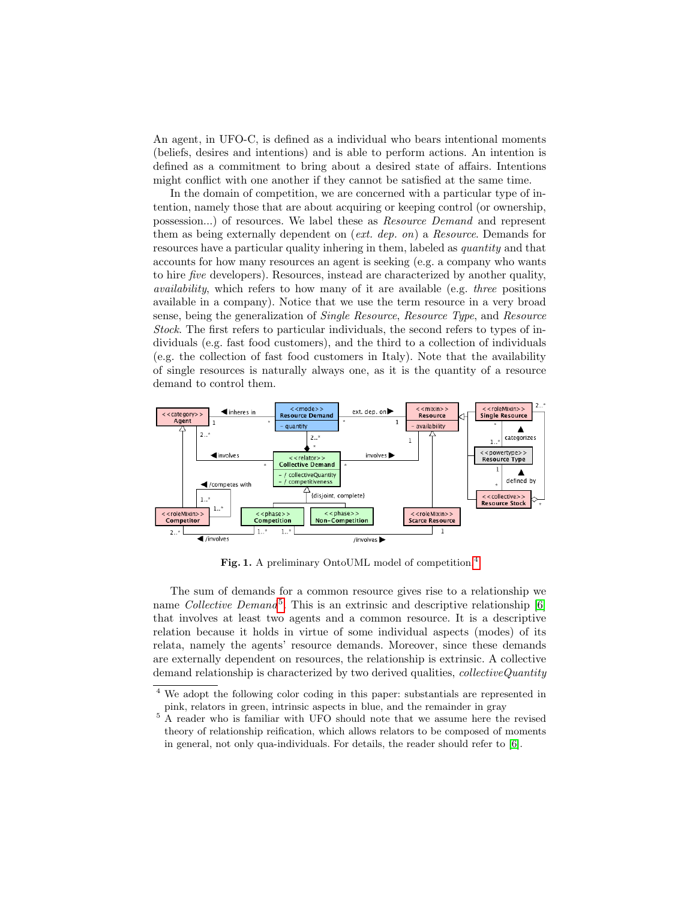An agent, in UFO-C, is defined as a individual who bears intentional moments (beliefs, desires and intentions) and is able to perform actions. An intention is defined as a commitment to bring about a desired state of affairs. Intentions might conflict with one another if they cannot be satisfied at the same time.

In the domain of competition, we are concerned with a particular type of intention, namely those that are about acquiring or keeping control (or ownership, possession...) of resources. We label these as Resource Demand and represent them as being externally dependent on (ext. dep. on) a Resource. Demands for resources have a particular quality inhering in them, labeled as quantity and that accounts for how many resources an agent is seeking (e.g. a company who wants to hire five developers). Resources, instead are characterized by another quality, availability, which refers to how many of it are available (e.g. three positions available in a company). Notice that we use the term resource in a very broad sense, being the generalization of Single Resource, Resource Type, and Resource Stock. The first refers to particular individuals, the second refers to types of individuals (e.g. fast food customers), and the third to a collection of individuals (e.g. the collection of fast food customers in Italy). Note that the availability of single resources is naturally always one, as it is the quantity of a resource demand to control them.



<span id="page-3-0"></span>Fig. 1. A preliminary OntoUML model of competition.<sup>[4](#page-3-1)</sup>

The sum of demands for a common resource gives rise to a relationship we name Collective Demand<sup>[5](#page-3-2)</sup>. This is an extrinsic and descriptive relationship [\[6\]](#page-8-5) that involves at least two agents and a common resource. It is a descriptive relation because it holds in virtue of some individual aspects (modes) of its relata, namely the agents' resource demands. Moreover, since these demands are externally dependent on resources, the relationship is extrinsic. A collective demand relationship is characterized by two derived qualities, *collectiveQuantity* 

<span id="page-3-1"></span><sup>4</sup> We adopt the following color coding in this paper: substantials are represented in pink, relators in green, intrinsic aspects in blue, and the remainder in gray

<span id="page-3-2"></span><sup>5</sup> A reader who is familiar with UFO should note that we assume here the revised theory of relationship reification, which allows relators to be composed of moments in general, not only qua-individuals. For details, the reader should refer to [\[6\]](#page-8-5).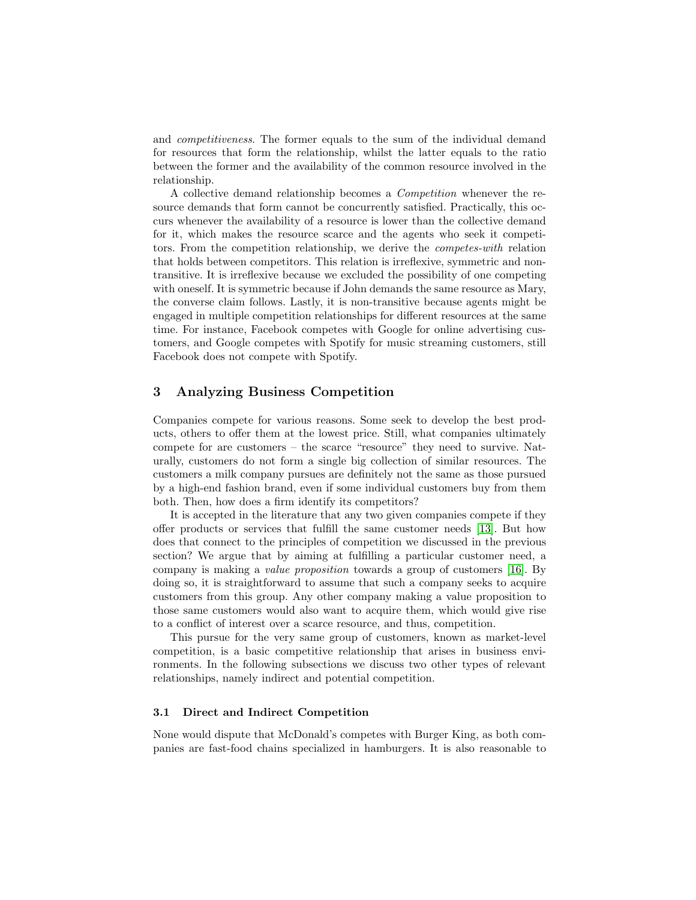and competitiveness. The former equals to the sum of the individual demand for resources that form the relationship, whilst the latter equals to the ratio between the former and the availability of the common resource involved in the relationship.

A collective demand relationship becomes a Competition whenever the resource demands that form cannot be concurrently satisfied. Practically, this occurs whenever the availability of a resource is lower than the collective demand for it, which makes the resource scarce and the agents who seek it competitors. From the competition relationship, we derive the competes-with relation that holds between competitors. This relation is irreflexive, symmetric and nontransitive. It is irreflexive because we excluded the possibility of one competing with oneself. It is symmetric because if John demands the same resource as Mary, the converse claim follows. Lastly, it is non-transitive because agents might be engaged in multiple competition relationships for different resources at the same time. For instance, Facebook competes with Google for online advertising customers, and Google competes with Spotify for music streaming customers, still Facebook does not compete with Spotify.

## <span id="page-4-0"></span>3 Analyzing Business Competition

Companies compete for various reasons. Some seek to develop the best products, others to offer them at the lowest price. Still, what companies ultimately compete for are customers – the scarce "resource" they need to survive. Naturally, customers do not form a single big collection of similar resources. The customers a milk company pursues are definitely not the same as those pursued by a high-end fashion brand, even if some individual customers buy from them both. Then, how does a firm identify its competitors?

It is accepted in the literature that any two given companies compete if they offer products or services that fulfill the same customer needs [\[13\]](#page-8-6). But how does that connect to the principles of competition we discussed in the previous section? We argue that by aiming at fulfilling a particular customer need, a company is making a value proposition towards a group of customers [\[16\]](#page-8-7). By doing so, it is straightforward to assume that such a company seeks to acquire customers from this group. Any other company making a value proposition to those same customers would also want to acquire them, which would give rise to a conflict of interest over a scarce resource, and thus, competition.

This pursue for the very same group of customers, known as market-level competition, is a basic competitive relationship that arises in business environments. In the following subsections we discuss two other types of relevant relationships, namely indirect and potential competition.

#### 3.1 Direct and Indirect Competition

None would dispute that McDonald's competes with Burger King, as both companies are fast-food chains specialized in hamburgers. It is also reasonable to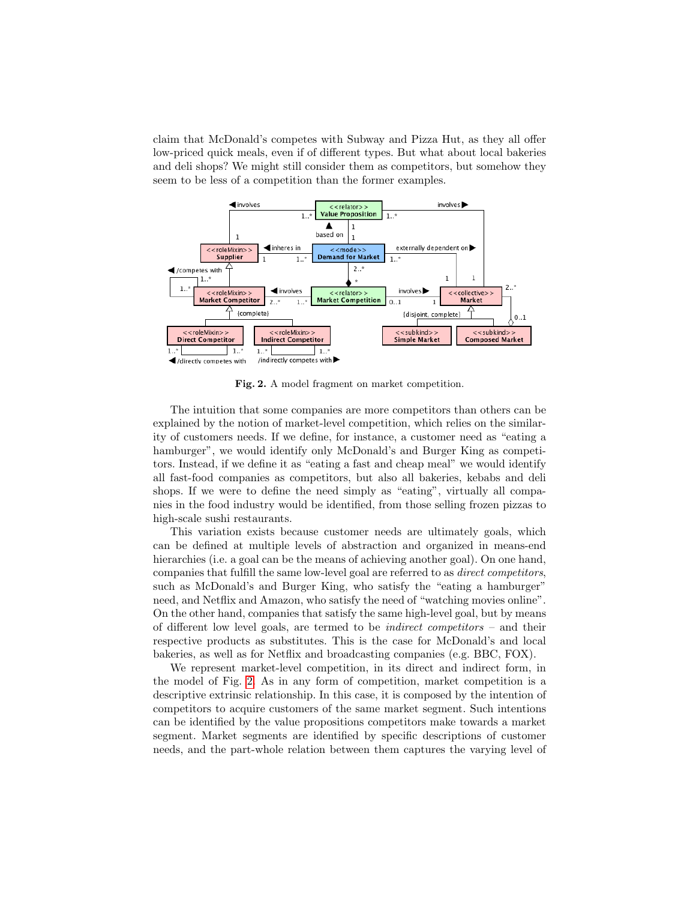claim that McDonald's competes with Subway and Pizza Hut, as they all offer low-priced quick meals, even if of different types. But what about local bakeries and deli shops? We might still consider them as competitors, but somehow they seem to be less of a competition than the former examples.



<span id="page-5-0"></span>Fig. 2. A model fragment on market competition.

The intuition that some companies are more competitors than others can be explained by the notion of market-level competition, which relies on the similarity of customers needs. If we define, for instance, a customer need as "eating a hamburger", we would identify only McDonald's and Burger King as competitors. Instead, if we define it as "eating a fast and cheap meal" we would identify all fast-food companies as competitors, but also all bakeries, kebabs and deli shops. If we were to define the need simply as "eating", virtually all companies in the food industry would be identified, from those selling frozen pizzas to high-scale sushi restaurants.

This variation exists because customer needs are ultimately goals, which can be defined at multiple levels of abstraction and organized in means-end hierarchies (i.e. a goal can be the means of achieving another goal). On one hand, companies that fulfill the same low-level goal are referred to as direct competitors, such as McDonald's and Burger King, who satisfy the "eating a hamburger" need, and Netflix and Amazon, who satisfy the need of "watching movies online". On the other hand, companies that satisfy the same high-level goal, but by means of different low level goals, are termed to be *indirect competitors*  $-$  and their respective products as substitutes. This is the case for McDonald's and local bakeries, as well as for Netflix and broadcasting companies (e.g. BBC, FOX).

We represent market-level competition, in its direct and indirect form, in the model of Fig. [2.](#page-5-0) As in any form of competition, market competition is a descriptive extrinsic relationship. In this case, it is composed by the intention of competitors to acquire customers of the same market segment. Such intentions can be identified by the value propositions competitors make towards a market segment. Market segments are identified by specific descriptions of customer needs, and the part-whole relation between them captures the varying level of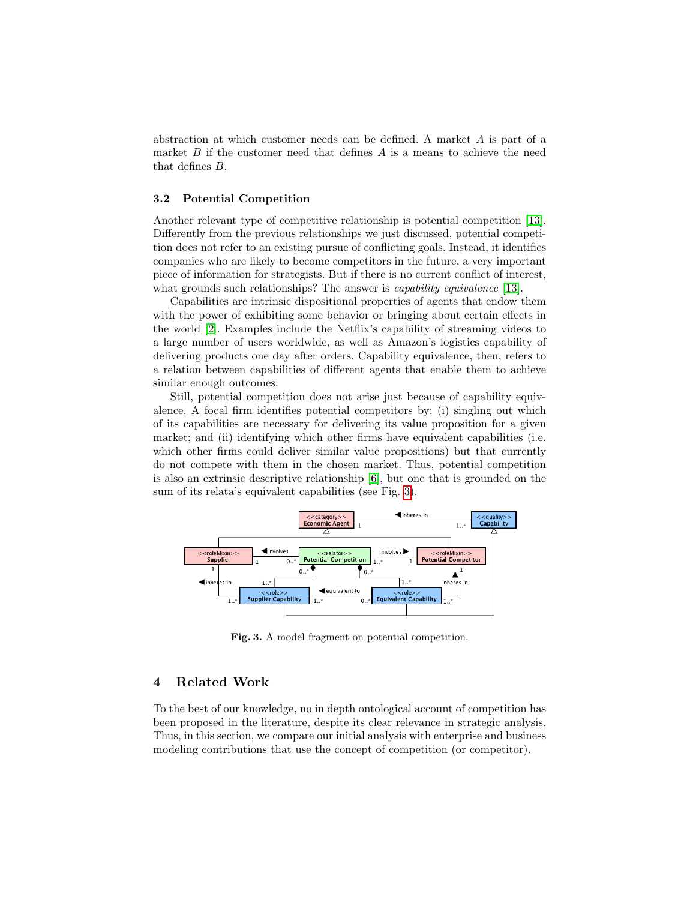abstraction at which customer needs can be defined. A market A is part of a market  $B$  if the customer need that defines  $A$  is a means to achieve the need that defines B.

#### 3.2 Potential Competition

Another relevant type of competitive relationship is potential competition [\[13\]](#page-8-6). Differently from the previous relationships we just discussed, potential competition does not refer to an existing pursue of conflicting goals. Instead, it identifies companies who are likely to become competitors in the future, a very important piece of information for strategists. But if there is no current conflict of interest, what grounds such relationships? The answer is *capability equivalence* [\[13\]](#page-8-6).

Capabilities are intrinsic dispositional properties of agents that endow them with the power of exhibiting some behavior or bringing about certain effects in the world [\[2\]](#page-8-8). Examples include the Netflix's capability of streaming videos to a large number of users worldwide, as well as Amazon's logistics capability of delivering products one day after orders. Capability equivalence, then, refers to a relation between capabilities of different agents that enable them to achieve similar enough outcomes.

Still, potential competition does not arise just because of capability equivalence. A focal firm identifies potential competitors by: (i) singling out which of its capabilities are necessary for delivering its value proposition for a given market; and (ii) identifying which other firms have equivalent capabilities (i.e. which other firms could deliver similar value propositions) but that currently do not compete with them in the chosen market. Thus, potential competition is also an extrinsic descriptive relationship [\[6\]](#page-8-5), but one that is grounded on the sum of its relata's equivalent capabilities (see Fig. [3\)](#page-6-1).



<span id="page-6-1"></span>Fig. 3. A model fragment on potential competition.

## <span id="page-6-0"></span>4 Related Work

To the best of our knowledge, no in depth ontological account of competition has been proposed in the literature, despite its clear relevance in strategic analysis. Thus, in this section, we compare our initial analysis with enterprise and business modeling contributions that use the concept of competition (or competitor).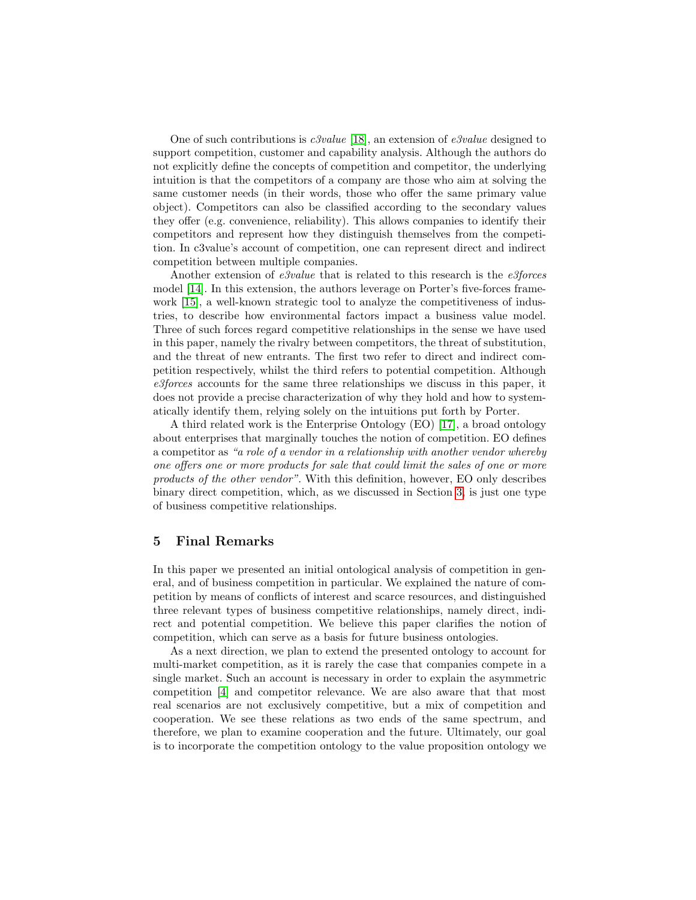One of such contributions is *c3value* [\[18\]](#page-8-9), an extension of *e3value* designed to support competition, customer and capability analysis. Although the authors do not explicitly define the concepts of competition and competitor, the underlying intuition is that the competitors of a company are those who aim at solving the same customer needs (in their words, those who offer the same primary value object). Competitors can also be classified according to the secondary values they offer (e.g. convenience, reliability). This allows companies to identify their competitors and represent how they distinguish themselves from the competition. In c3value's account of competition, one can represent direct and indirect competition between multiple companies.

Another extension of  $e3 value$  that is related to this research is the  $e3 forces$ model [\[14\]](#page-8-10). In this extension, the authors leverage on Porter's five-forces framework [\[15\]](#page-8-11), a well-known strategic tool to analyze the competitiveness of industries, to describe how environmental factors impact a business value model. Three of such forces regard competitive relationships in the sense we have used in this paper, namely the rivalry between competitors, the threat of substitution, and the threat of new entrants. The first two refer to direct and indirect competition respectively, whilst the third refers to potential competition. Although e3forces accounts for the same three relationships we discuss in this paper, it does not provide a precise characterization of why they hold and how to systematically identify them, relying solely on the intuitions put forth by Porter.

A third related work is the Enterprise Ontology (EO) [\[17\]](#page-8-12), a broad ontology about enterprises that marginally touches the notion of competition. EO defines a competitor as "a role of a vendor in a relationship with another vendor whereby one offers one or more products for sale that could limit the sales of one or more products of the other vendor". With this definition, however, EO only describes binary direct competition, which, as we discussed in Section [3,](#page-4-0) is just one type of business competitive relationships.

## <span id="page-7-0"></span>5 Final Remarks

In this paper we presented an initial ontological analysis of competition in general, and of business competition in particular. We explained the nature of competition by means of conflicts of interest and scarce resources, and distinguished three relevant types of business competitive relationships, namely direct, indirect and potential competition. We believe this paper clarifies the notion of competition, which can serve as a basis for future business ontologies.

As a next direction, we plan to extend the presented ontology to account for multi-market competition, as it is rarely the case that companies compete in a single market. Such an account is necessary in order to explain the asymmetric competition [\[4\]](#page-8-13) and competitor relevance. We are also aware that that most real scenarios are not exclusively competitive, but a mix of competition and cooperation. We see these relations as two ends of the same spectrum, and therefore, we plan to examine cooperation and the future. Ultimately, our goal is to incorporate the competition ontology to the value proposition ontology we